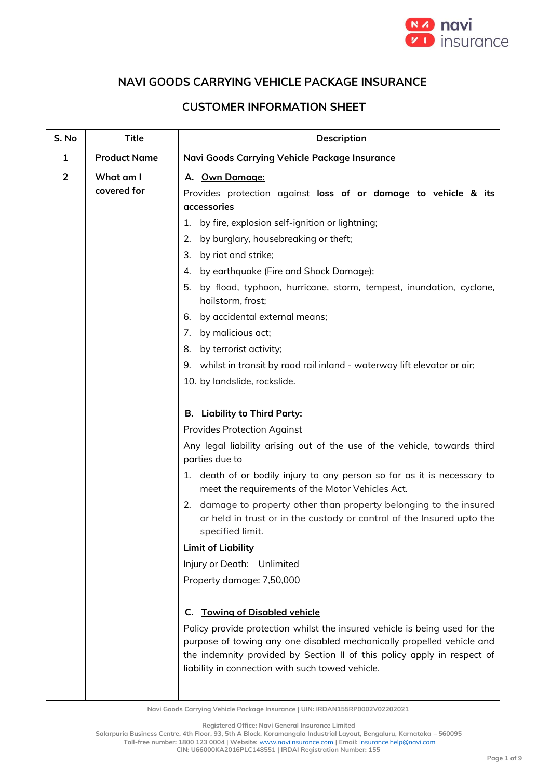

## **NAVI GOODS CARRYING VEHICLE PACKAGE INSURANCE**

## **CUSTOMER INFORMATION SHEET**

| S. No          | <b>Title</b>             | Description                                                                                                                                                                                                                                                                                                                   |  |
|----------------|--------------------------|-------------------------------------------------------------------------------------------------------------------------------------------------------------------------------------------------------------------------------------------------------------------------------------------------------------------------------|--|
| $\mathbf{1}$   | <b>Product Name</b>      | Navi Goods Carrying Vehicle Package Insurance                                                                                                                                                                                                                                                                                 |  |
| $\overline{2}$ | What am I<br>covered for | A. Own Damage:<br>Provides protection against loss of or damage to vehicle & its<br>accessories                                                                                                                                                                                                                               |  |
|                |                          | by fire, explosion self-ignition or lightning;<br>1.                                                                                                                                                                                                                                                                          |  |
|                |                          | by burglary, housebreaking or theft;<br>2.                                                                                                                                                                                                                                                                                    |  |
|                |                          | by riot and strike;<br>3.                                                                                                                                                                                                                                                                                                     |  |
|                |                          | by earthquake (Fire and Shock Damage);<br>4.                                                                                                                                                                                                                                                                                  |  |
|                |                          | by flood, typhoon, hurricane, storm, tempest, inundation, cyclone,<br>5.<br>hailstorm, frost;                                                                                                                                                                                                                                 |  |
|                |                          | by accidental external means;<br>6.                                                                                                                                                                                                                                                                                           |  |
|                |                          | by malicious act;<br>7.                                                                                                                                                                                                                                                                                                       |  |
|                |                          | by terrorist activity;<br>8.                                                                                                                                                                                                                                                                                                  |  |
|                |                          | 9. whilst in transit by road rail inland - waterway lift elevator or air;                                                                                                                                                                                                                                                     |  |
|                |                          | 10. by landslide, rockslide.                                                                                                                                                                                                                                                                                                  |  |
|                |                          |                                                                                                                                                                                                                                                                                                                               |  |
|                |                          | <b>B.</b> Liability to Third Party:                                                                                                                                                                                                                                                                                           |  |
|                |                          | <b>Provides Protection Against</b>                                                                                                                                                                                                                                                                                            |  |
|                |                          | Any legal liability arising out of the use of the vehicle, towards third<br>parties due to                                                                                                                                                                                                                                    |  |
|                |                          | 1. death of or bodily injury to any person so far as it is necessary to<br>meet the requirements of the Motor Vehicles Act.                                                                                                                                                                                                   |  |
|                |                          | 2. damage to property other than property belonging to the insured<br>or held in trust or in the custody or control of the Insured upto the<br>specified limit.                                                                                                                                                               |  |
|                |                          | <b>Limit of Liability</b>                                                                                                                                                                                                                                                                                                     |  |
|                |                          | Injury or Death: Unlimited                                                                                                                                                                                                                                                                                                    |  |
|                |                          | Property damage: 7,50,000                                                                                                                                                                                                                                                                                                     |  |
|                |                          | <b>Towing of Disabled vehicle</b><br>C.<br>Policy provide protection whilst the insured vehicle is being used for the<br>purpose of towing any one disabled mechanically propelled vehicle and<br>the indemnity provided by Section II of this policy apply in respect of<br>liability in connection with such towed vehicle. |  |

**Navi Goods Carrying Vehicle Package Insurance | UIN: IRDAN155RP0002V02202021**

**Registered Office: Navi General Insurance Limited**

**Salarpuria Business Centre, 4th Floor, 93, 5th A Block, Koramangala Industrial Layout, Bengaluru, Karnataka – 560095**

**Toll-free number: 1800 123 0004 | Website:** [www.naviinsurance.com](http://www.naviinsurance.com/) **| Email:** [insurance.help@navi.com](mailto:insurance.help@navi.com)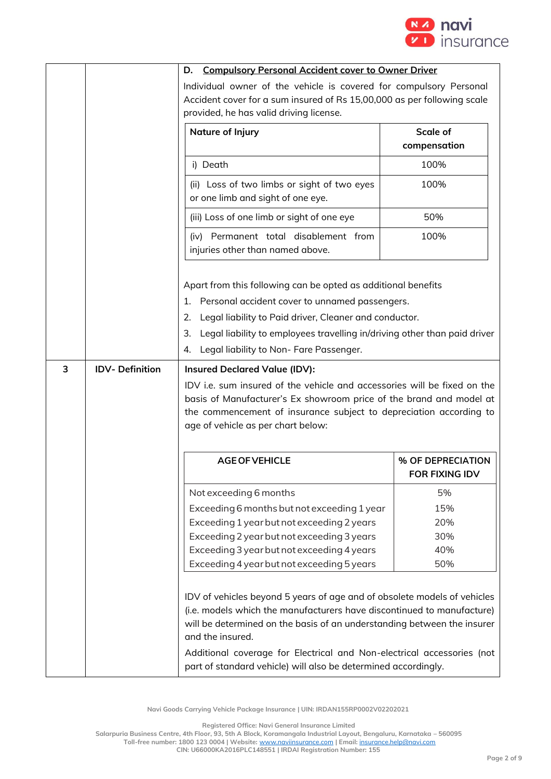

|   |                       | <b>Compulsory Personal Accident cover to Owner Driver</b><br>D.                                                                                                                                                                                                                                                       |                                            |
|---|-----------------------|-----------------------------------------------------------------------------------------------------------------------------------------------------------------------------------------------------------------------------------------------------------------------------------------------------------------------|--------------------------------------------|
|   |                       | Individual owner of the vehicle is covered for compulsory Personal<br>Accident cover for a sum insured of Rs 15,00,000 as per following scale<br>provided, he has valid driving license.                                                                                                                              |                                            |
|   |                       | Nature of Injury                                                                                                                                                                                                                                                                                                      | Scale of<br>compensation                   |
|   |                       | i) Death                                                                                                                                                                                                                                                                                                              | 100%                                       |
|   |                       | (ii) Loss of two limbs or sight of two eyes<br>or one limb and sight of one eye.                                                                                                                                                                                                                                      | 100%                                       |
|   |                       | (iii) Loss of one limb or sight of one eye                                                                                                                                                                                                                                                                            | 50%                                        |
|   |                       | (iv) Permanent total disablement from<br>injuries other than named above.                                                                                                                                                                                                                                             | 100%                                       |
|   |                       | Apart from this following can be opted as additional benefits<br>1. Personal accident cover to unnamed passengers.<br>Legal liability to Paid driver, Cleaner and conductor.<br>2.<br>Legal liability to employees travelling in/driving other than paid driver<br>З.<br>Legal liability to Non-Fare Passenger.<br>4. |                                            |
| 3 | <b>IDV-Definition</b> | <b>Insured Declared Value (IDV):</b>                                                                                                                                                                                                                                                                                  |                                            |
|   |                       | IDV i.e. sum insured of the vehicle and accessories will be fixed on the<br>basis of Manufacturer's Ex showroom price of the brand and model at<br>the commencement of insurance subject to depreciation according to<br>age of vehicle as per chart below:                                                           |                                            |
|   |                       | <b>AGE OF VEHICLE</b>                                                                                                                                                                                                                                                                                                 | % OF DEPRECIATION<br><b>FOR FIXING IDV</b> |
|   |                       | Not exceeding 6 months<br>Exceeding 6 months but not exceeding 1 year<br>Exceeding 1 year but not exceeding 2 years<br>Exceeding 2 year but not exceeding 3 years<br>Exceeding 3 year but not exceeding 4 years<br>Exceeding 4 year but not exceeding 5 years                                                         | 5%<br>15%<br>20%<br>30%<br>40%<br>50%      |
|   |                       | IDV of vehicles beyond 5 years of age and of obsolete models of vehicles<br>(i.e. models which the manufacturers have discontinued to manufacture)<br>will be determined on the basis of an understanding between the insurer<br>and the insured.                                                                     |                                            |
|   |                       | Additional coverage for Electrical and Non-electrical accessories (not<br>part of standard vehicle) will also be determined accordingly.                                                                                                                                                                              |                                            |

**Registered Office: Navi General Insurance Limited**

**Salarpuria Business Centre, 4th Floor, 93, 5th A Block, Koramangala Industrial Layout, Bengaluru, Karnataka – 560095**

**Toll-free number: 1800 123 0004 | Website:** [www.naviinsurance.com](http://www.naviinsurance.com/) **| Email:** [insurance.help@navi.com](mailto:insurance.help@navi.com) **CIN: U66000KA2016PLC148551 | IRDAI Registration Number: 155**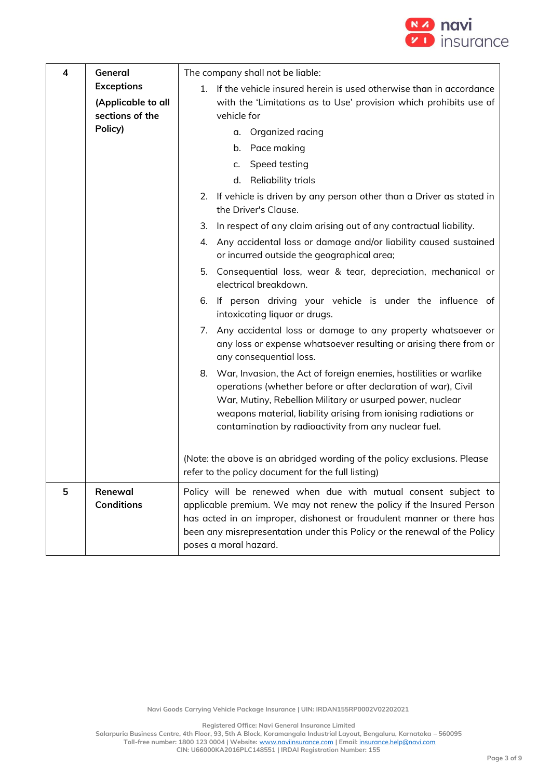

| 4 | General                               | The company shall not be liable:                                                                                                                                                                                                                                                                                                |
|---|---------------------------------------|---------------------------------------------------------------------------------------------------------------------------------------------------------------------------------------------------------------------------------------------------------------------------------------------------------------------------------|
|   | <b>Exceptions</b>                     | 1. If the vehicle insured herein is used otherwise than in accordance                                                                                                                                                                                                                                                           |
|   | (Applicable to all<br>sections of the | with the 'Limitations as to Use' provision which prohibits use of                                                                                                                                                                                                                                                               |
|   | Policy)                               | vehicle for                                                                                                                                                                                                                                                                                                                     |
|   |                                       | a. Organized racing                                                                                                                                                                                                                                                                                                             |
|   |                                       | b. Pace making                                                                                                                                                                                                                                                                                                                  |
|   |                                       | c. Speed testing                                                                                                                                                                                                                                                                                                                |
|   |                                       | d. Reliability trials                                                                                                                                                                                                                                                                                                           |
|   |                                       | 2. If vehicle is driven by any person other than a Driver as stated in<br>the Driver's Clause.                                                                                                                                                                                                                                  |
|   |                                       | In respect of any claim arising out of any contractual liability.<br>3.                                                                                                                                                                                                                                                         |
|   |                                       | Any accidental loss or damage and/or liability caused sustained<br>4.<br>or incurred outside the geographical area;                                                                                                                                                                                                             |
|   |                                       | 5. Consequential loss, wear & tear, depreciation, mechanical or<br>electrical breakdown.                                                                                                                                                                                                                                        |
|   |                                       | 6. If person driving your vehicle is under the influence of<br>intoxicating liquor or drugs.                                                                                                                                                                                                                                    |
|   |                                       | Any accidental loss or damage to any property whatsoever or<br>7.<br>any loss or expense whatsoever resulting or arising there from or<br>any consequential loss.                                                                                                                                                               |
|   |                                       | 8. War, Invasion, the Act of foreign enemies, hostilities or warlike<br>operations (whether before or after declaration of war), Civil<br>War, Mutiny, Rebellion Military or usurped power, nuclear<br>weapons material, liability arising from ionising radiations or<br>contamination by radioactivity from any nuclear fuel. |
|   |                                       | (Note: the above is an abridged wording of the policy exclusions. Please<br>refer to the policy document for the full listing)                                                                                                                                                                                                  |
| 5 | Renewal<br><b>Conditions</b>          | Policy will be renewed when due with mutual consent subject to<br>applicable premium. We may not renew the policy if the Insured Person<br>has acted in an improper, dishonest or fraudulent manner or there has<br>been any misrepresentation under this Policy or the renewal of the Policy<br>poses a moral hazard.          |

**Registered Office: Navi General Insurance Limited**

**Salarpuria Business Centre, 4th Floor, 93, 5th A Block, Koramangala Industrial Layout, Bengaluru, Karnataka – 560095 Toll-free number: 1800 123 0004 | Website:** [www.naviinsurance.com](http://www.naviinsurance.com/) **| Email:** [insurance.help@navi.com](mailto:insurance.help@navi.com) **CIN: U66000KA2016PLC148551 | IRDAI Registration Number: 155**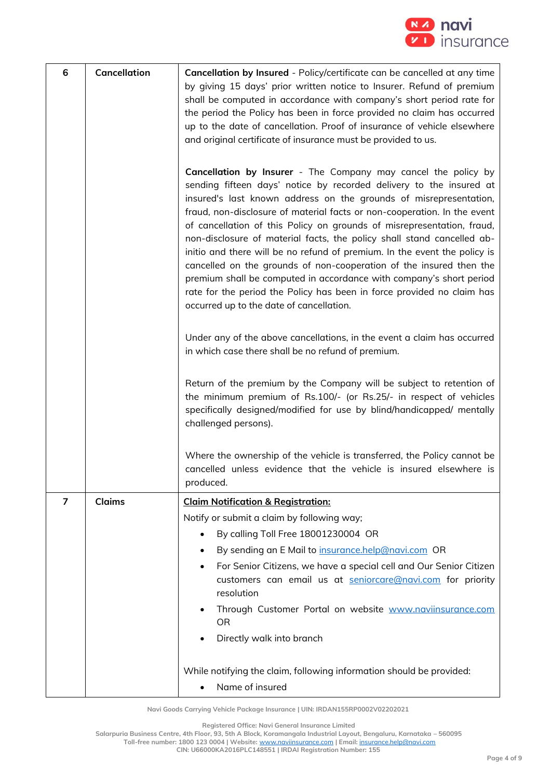

| 6 | <b>Cancellation</b> | Cancellation by Insured - Policy/certificate can be cancelled at any time<br>by giving 15 days' prior written notice to Insurer. Refund of premium<br>shall be computed in accordance with company's short period rate for<br>the period the Policy has been in force provided no claim has occurred<br>up to the date of cancellation. Proof of insurance of vehicle elsewhere<br>and original certificate of insurance must be provided to us.                                                                                                                                                                                                                                                                                                                                            |
|---|---------------------|---------------------------------------------------------------------------------------------------------------------------------------------------------------------------------------------------------------------------------------------------------------------------------------------------------------------------------------------------------------------------------------------------------------------------------------------------------------------------------------------------------------------------------------------------------------------------------------------------------------------------------------------------------------------------------------------------------------------------------------------------------------------------------------------|
|   |                     | Cancellation by Insurer - The Company may cancel the policy by<br>sending fifteen days' notice by recorded delivery to the insured at<br>insured's last known address on the grounds of misrepresentation,<br>fraud, non-disclosure of material facts or non-cooperation. In the event<br>of cancellation of this Policy on grounds of misrepresentation, fraud,<br>non-disclosure of material facts, the policy shall stand cancelled ab-<br>initio and there will be no refund of premium. In the event the policy is<br>cancelled on the grounds of non-cooperation of the insured then the<br>premium shall be computed in accordance with company's short period<br>rate for the period the Policy has been in force provided no claim has<br>occurred up to the date of cancellation. |
|   |                     | Under any of the above cancellations, in the event a claim has occurred<br>in which case there shall be no refund of premium.                                                                                                                                                                                                                                                                                                                                                                                                                                                                                                                                                                                                                                                               |
|   |                     | Return of the premium by the Company will be subject to retention of<br>the minimum premium of Rs.100/- (or Rs.25/- in respect of vehicles<br>specifically designed/modified for use by blind/handicapped/ mentally<br>challenged persons).                                                                                                                                                                                                                                                                                                                                                                                                                                                                                                                                                 |
|   |                     | Where the ownership of the vehicle is transferred, the Policy cannot be<br>cancelled unless evidence that the vehicle is insured elsewhere is<br>produced.                                                                                                                                                                                                                                                                                                                                                                                                                                                                                                                                                                                                                                  |
| 7 | Claims              | <b>Claim Notification &amp; Registration:</b>                                                                                                                                                                                                                                                                                                                                                                                                                                                                                                                                                                                                                                                                                                                                               |
|   |                     | Notify or submit a claim by following way;                                                                                                                                                                                                                                                                                                                                                                                                                                                                                                                                                                                                                                                                                                                                                  |
|   |                     | By calling Toll Free 18001230004 OR<br>$\bullet$                                                                                                                                                                                                                                                                                                                                                                                                                                                                                                                                                                                                                                                                                                                                            |
|   |                     | By sending an E Mail to insurance.help@navi.com OR<br>$\bullet$                                                                                                                                                                                                                                                                                                                                                                                                                                                                                                                                                                                                                                                                                                                             |
|   |                     | For Senior Citizens, we have a special cell and Our Senior Citizen<br>$\bullet$<br>customers can email us at seniorcare@navi.com for priority<br>resolution                                                                                                                                                                                                                                                                                                                                                                                                                                                                                                                                                                                                                                 |
|   |                     | Through Customer Portal on website www.naviinsurance.com<br>٠<br><b>OR</b>                                                                                                                                                                                                                                                                                                                                                                                                                                                                                                                                                                                                                                                                                                                  |
|   |                     | Directly walk into branch                                                                                                                                                                                                                                                                                                                                                                                                                                                                                                                                                                                                                                                                                                                                                                   |
|   |                     | While notifying the claim, following information should be provided:<br>Name of insured<br>$\bullet$                                                                                                                                                                                                                                                                                                                                                                                                                                                                                                                                                                                                                                                                                        |

**Registered Office: Navi General Insurance Limited**

**Salarpuria Business Centre, 4th Floor, 93, 5th A Block, Koramangala Industrial Layout, Bengaluru, Karnataka – 560095**

**Toll-free number: 1800 123 0004 | Website:** [www.naviinsurance.com](http://www.naviinsurance.com/) **| Email:** [insurance.help@navi.com](mailto:insurance.help@navi.com)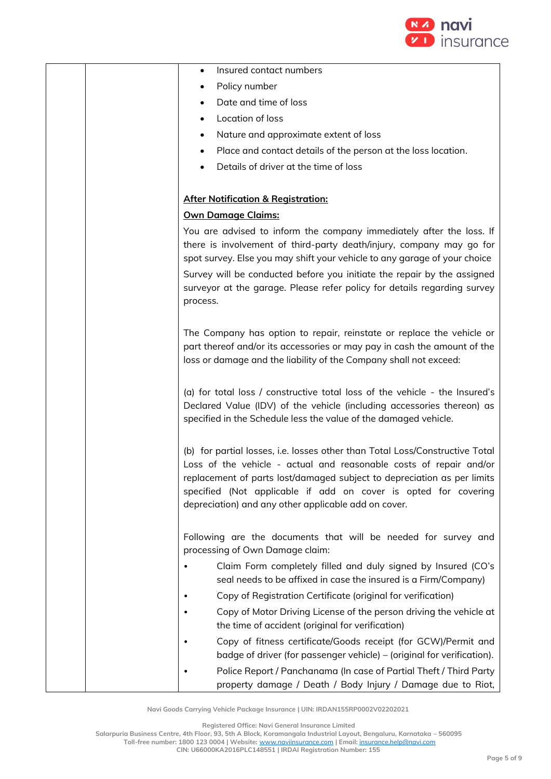

| Insured contact numbers                                                                                                                                                                                                                                                                                                                                                                      |
|----------------------------------------------------------------------------------------------------------------------------------------------------------------------------------------------------------------------------------------------------------------------------------------------------------------------------------------------------------------------------------------------|
| Policy number                                                                                                                                                                                                                                                                                                                                                                                |
| Date and time of loss                                                                                                                                                                                                                                                                                                                                                                        |
| Location of loss                                                                                                                                                                                                                                                                                                                                                                             |
| Nature and approximate extent of loss                                                                                                                                                                                                                                                                                                                                                        |
| Place and contact details of the person at the loss location.                                                                                                                                                                                                                                                                                                                                |
| Details of driver at the time of loss                                                                                                                                                                                                                                                                                                                                                        |
|                                                                                                                                                                                                                                                                                                                                                                                              |
| <b>After Notification &amp; Registration:</b>                                                                                                                                                                                                                                                                                                                                                |
| <b>Own Damage Claims:</b>                                                                                                                                                                                                                                                                                                                                                                    |
| You are advised to inform the company immediately after the loss. If<br>there is involvement of third-party death/injury, company may go for<br>spot survey. Else you may shift your vehicle to any garage of your choice<br>Survey will be conducted before you initiate the repair by the assigned<br>surveyor at the garage. Please refer policy for details regarding survey<br>process. |
| The Company has option to repair, reinstate or replace the vehicle or<br>part thereof and/or its accessories or may pay in cash the amount of the<br>loss or damage and the liability of the Company shall not exceed:                                                                                                                                                                       |
| (a) for total loss / constructive total loss of the vehicle - the Insured's<br>Declared Value (IDV) of the vehicle (including accessories thereon) as<br>specified in the Schedule less the value of the damaged vehicle.                                                                                                                                                                    |
| (b) for partial losses, i.e. losses other than Total Loss/Constructive Total<br>Loss of the vehicle - actual and reasonable costs of repair and/or<br>replacement of parts lost/damaged subject to depreciation as per limits<br>specified (Not applicable if add on cover is opted for covering<br>depreciation) and any other applicable add on cover.                                     |
| Following are the documents that will be needed for survey and<br>processing of Own Damage claim:                                                                                                                                                                                                                                                                                            |
| Claim Form completely filled and duly signed by Insured (CO's<br>seal needs to be affixed in case the insured is a Firm/Company)                                                                                                                                                                                                                                                             |
| Copy of Registration Certificate (original for verification)                                                                                                                                                                                                                                                                                                                                 |
| Copy of Motor Driving License of the person driving the vehicle at<br>the time of accident (original for verification)                                                                                                                                                                                                                                                                       |
| Copy of fitness certificate/Goods receipt (for GCW)/Permit and<br>badge of driver (for passenger vehicle) – (original for verification).                                                                                                                                                                                                                                                     |
| Police Report / Panchanama (In case of Partial Theft / Third Party<br>property damage / Death / Body Injury / Damage due to Riot,                                                                                                                                                                                                                                                            |

**Registered Office: Navi General Insurance Limited**

**Salarpuria Business Centre, 4th Floor, 93, 5th A Block, Koramangala Industrial Layout, Bengaluru, Karnataka – 560095**

**Toll-free number: 1800 123 0004 | Website:** [www.naviinsurance.com](http://www.naviinsurance.com/) **| Email:** [insurance.help@navi.com](mailto:insurance.help@navi.com)

**CIN: U66000KA2016PLC148551 | IRDAI Registration Number: 155**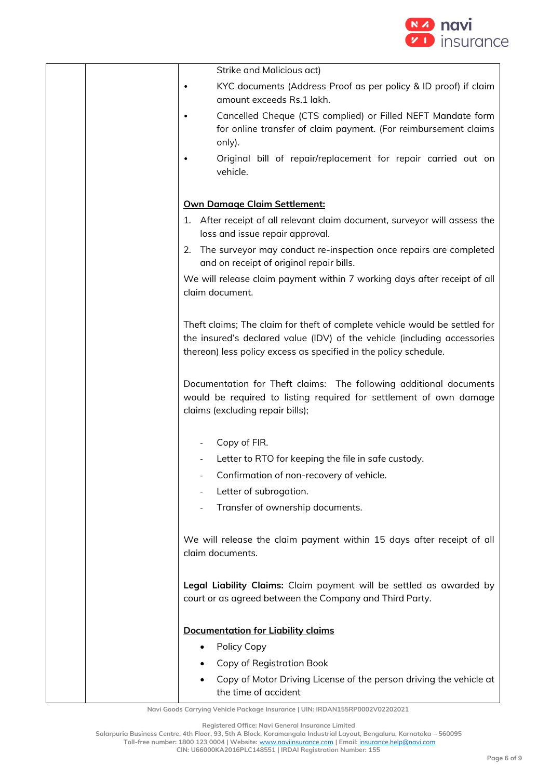

| Strike and Malicious act)                                                                                                                                                                                                  |
|----------------------------------------------------------------------------------------------------------------------------------------------------------------------------------------------------------------------------|
| KYC documents (Address Proof as per policy & ID proof) if claim<br>amount exceeds Rs.1 lakh.                                                                                                                               |
| Cancelled Cheque (CTS complied) or Filled NEFT Mandate form<br>for online transfer of claim payment. (For reimbursement claims<br>only).                                                                                   |
| Original bill of repair/replacement for repair carried out on<br>vehicle.                                                                                                                                                  |
| Own Damage Claim Settlement:                                                                                                                                                                                               |
| 1. After receipt of all relevant claim document, surveyor will assess the<br>loss and issue repair approval.                                                                                                               |
| 2. The surveyor may conduct re-inspection once repairs are completed<br>and on receipt of original repair bills.                                                                                                           |
| We will release claim payment within 7 working days after receipt of all<br>claim document.                                                                                                                                |
| Theft claims; The claim for theft of complete vehicle would be settled for<br>the insured's declared value (IDV) of the vehicle (including accessories<br>thereon) less policy excess as specified in the policy schedule. |
| Documentation for Theft claims: The following additional documents<br>would be required to listing required for settlement of own damage<br>claims (excluding repair bills);                                               |
| Copy of FIR.                                                                                                                                                                                                               |
| Letter to RTO for keeping the file in safe custody.                                                                                                                                                                        |
| Confirmation of non-recovery of vehicle.                                                                                                                                                                                   |
| Letter of subrogation.                                                                                                                                                                                                     |
| Transfer of ownership documents.                                                                                                                                                                                           |
| We will release the claim payment within 15 days after receipt of all<br>claim documents.                                                                                                                                  |
| Legal Liability Claims: Claim payment will be settled as awarded by<br>court or as agreed between the Company and Third Party.                                                                                             |
| <b>Documentation for Liability claims</b>                                                                                                                                                                                  |
| Policy Copy<br>٠                                                                                                                                                                                                           |
| Copy of Registration Book                                                                                                                                                                                                  |
| Copy of Motor Driving License of the person driving the vehicle at<br>$\bullet$<br>the time of accident                                                                                                                    |

**Registered Office: Navi General Insurance Limited**

**Salarpuria Business Centre, 4th Floor, 93, 5th A Block, Koramangala Industrial Layout, Bengaluru, Karnataka – 560095**

**Toll-free number: 1800 123 0004 | Website:** [www.naviinsurance.com](http://www.naviinsurance.com/) **| Email:** [insurance.help@navi.com](mailto:insurance.help@navi.com)

**CIN: U66000KA2016PLC148551 | IRDAI Registration Number: 155**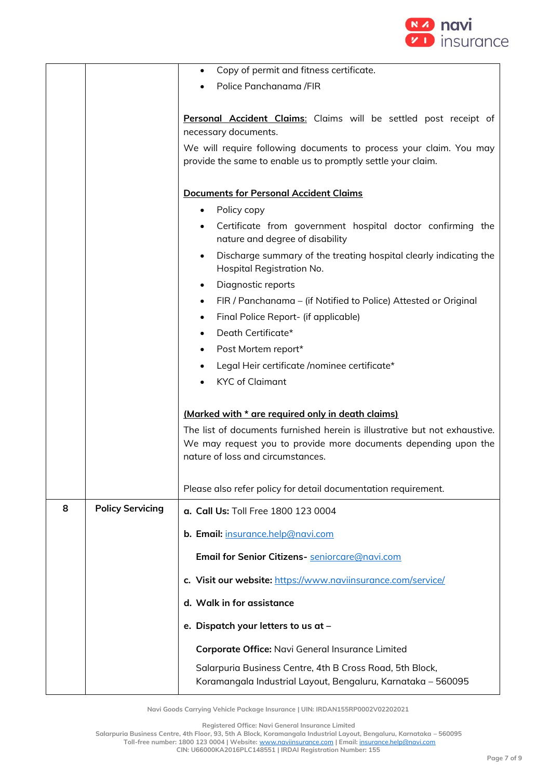

|   |                         | Copy of permit and fitness certificate.<br>٠                                                                                                                   |
|---|-------------------------|----------------------------------------------------------------------------------------------------------------------------------------------------------------|
|   |                         | Police Panchanama /FIR                                                                                                                                         |
|   |                         |                                                                                                                                                                |
|   |                         | Personal Accident Claims: Claims will be settled post receipt of<br>necessary documents.<br>We will require following documents to process your claim. You may |
|   |                         | provide the same to enable us to promptly settle your claim.                                                                                                   |
|   |                         |                                                                                                                                                                |
|   |                         | <b>Documents for Personal Accident Claims</b>                                                                                                                  |
|   |                         | Policy copy<br>$\bullet$                                                                                                                                       |
|   |                         | Certificate from government hospital doctor confirming the<br>$\bullet$<br>nature and degree of disability                                                     |
|   |                         | Discharge summary of the treating hospital clearly indicating the<br>$\bullet$<br>Hospital Registration No.                                                    |
|   |                         | Diagnostic reports<br>$\bullet$                                                                                                                                |
|   |                         | FIR / Panchanama – (if Notified to Police) Attested or Original<br>$\bullet$                                                                                   |
|   |                         | Final Police Report- (if applicable)<br>$\bullet$                                                                                                              |
|   |                         | Death Certificate*<br>$\bullet$                                                                                                                                |
|   |                         | Post Mortem report*<br>$\bullet$                                                                                                                               |
|   |                         | Legal Heir certificate /nominee certificate*<br>$\bullet$                                                                                                      |
|   |                         | <b>KYC</b> of Claimant                                                                                                                                         |
|   |                         | (Marked with * are required only in death claims)                                                                                                              |
|   |                         | The list of documents furnished herein is illustrative but not exhaustive.                                                                                     |
|   |                         | We may request you to provide more documents depending upon the<br>nature of loss and circumstances.                                                           |
|   |                         | Please also refer policy for detail documentation requirement.                                                                                                 |
| 8 | <b>Policy Servicing</b> | a. Call Us: Toll Free 1800 123 0004                                                                                                                            |
|   |                         | b. Email: insurance.help@navi.com                                                                                                                              |
|   |                         | Email for Senior Citizens- seniorcare@navi.com                                                                                                                 |
|   |                         | c. Visit our website: https://www.naviinsurance.com/service/                                                                                                   |
|   |                         | d. Walk in for assistance                                                                                                                                      |
|   |                         | e. Dispatch your letters to us at -                                                                                                                            |
|   |                         | Corporate Office: Navi General Insurance Limited                                                                                                               |
|   |                         | Salarpuria Business Centre, 4th B Cross Road, 5th Block,<br>Koramangala Industrial Layout, Bengaluru, Karnataka - 560095                                       |

**Registered Office: Navi General Insurance Limited**

**Salarpuria Business Centre, 4th Floor, 93, 5th A Block, Koramangala Industrial Layout, Bengaluru, Karnataka – 560095 Toll-free number: 1800 123 0004 | Website:** [www.naviinsurance.com](http://www.naviinsurance.com/) **| Email:** [insurance.help@navi.com](mailto:insurance.help@navi.com)

**CIN: U66000KA2016PLC148551 | IRDAI Registration Number: 155**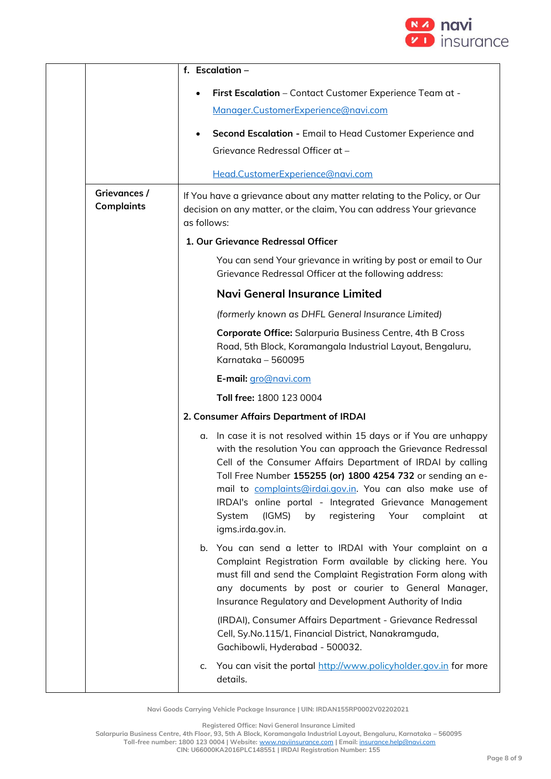

|                                   | f. Escalation -                                                                                                                                                                                                                                                                                                                                                                                                                                                                   |
|-----------------------------------|-----------------------------------------------------------------------------------------------------------------------------------------------------------------------------------------------------------------------------------------------------------------------------------------------------------------------------------------------------------------------------------------------------------------------------------------------------------------------------------|
|                                   | First Escalation - Contact Customer Experience Team at -                                                                                                                                                                                                                                                                                                                                                                                                                          |
|                                   | Manager.CustomerExperience@navi.com                                                                                                                                                                                                                                                                                                                                                                                                                                               |
|                                   | Second Escalation - Email to Head Customer Experience and                                                                                                                                                                                                                                                                                                                                                                                                                         |
|                                   | Grievance Redressal Officer at -                                                                                                                                                                                                                                                                                                                                                                                                                                                  |
|                                   | Head.CustomerExperience@navi.com                                                                                                                                                                                                                                                                                                                                                                                                                                                  |
| Grievances /<br><b>Complaints</b> | If You have a grievance about any matter relating to the Policy, or Our<br>decision on any matter, or the claim, You can address Your grievance<br>as follows:                                                                                                                                                                                                                                                                                                                    |
|                                   | 1. Our Grievance Redressal Officer                                                                                                                                                                                                                                                                                                                                                                                                                                                |
|                                   | You can send Your grievance in writing by post or email to Our<br>Grievance Redressal Officer at the following address:                                                                                                                                                                                                                                                                                                                                                           |
|                                   | Navi General Insurance Limited                                                                                                                                                                                                                                                                                                                                                                                                                                                    |
|                                   | (formerly known as DHFL General Insurance Limited)                                                                                                                                                                                                                                                                                                                                                                                                                                |
|                                   | Corporate Office: Salarpuria Business Centre, 4th B Cross<br>Road, 5th Block, Koramangala Industrial Layout, Bengaluru,<br>Karnataka - 560095                                                                                                                                                                                                                                                                                                                                     |
|                                   | E-mail: gro@navi.com                                                                                                                                                                                                                                                                                                                                                                                                                                                              |
|                                   | Toll free: 1800 123 0004                                                                                                                                                                                                                                                                                                                                                                                                                                                          |
|                                   | 2. Consumer Affairs Department of IRDAI                                                                                                                                                                                                                                                                                                                                                                                                                                           |
|                                   | In case it is not resolved within 15 days or if You are unhappy<br>α.<br>with the resolution You can approach the Grievance Redressal<br>Cell of the Consumer Affairs Department of IRDAI by calling<br>Toll Free Number 155255 (or) 1800 4254 732 or sending an e-<br>mail to complaints@irdai.gov.in. You can also make use of<br>IRDAI's online portal - Integrated Grievance Management<br>System<br>(IGMS)<br>registering Your<br>by<br>complaint<br>at<br>igms.irda.gov.in. |
|                                   | You can send a letter to IRDAI with Your complaint on a<br>b.<br>Complaint Registration Form available by clicking here. You<br>must fill and send the Complaint Registration Form along with<br>any documents by post or courier to General Manager,<br>Insurance Regulatory and Development Authority of India                                                                                                                                                                  |
|                                   | (IRDAI), Consumer Affairs Department - Grievance Redressal<br>Cell, Sy.No.115/1, Financial District, Nanakramguda,<br>Gachibowli, Hyderabad - 500032.                                                                                                                                                                                                                                                                                                                             |
|                                   | You can visit the portal http://www.policyholder.gov.in for more<br>c.<br>details.                                                                                                                                                                                                                                                                                                                                                                                                |

**Registered Office: Navi General Insurance Limited**

**Salarpuria Business Centre, 4th Floor, 93, 5th A Block, Koramangala Industrial Layout, Bengaluru, Karnataka – 560095**

**Toll-free number: 1800 123 0004 | Website:** [www.naviinsurance.com](http://www.naviinsurance.com/) **| Email:** [insurance.help@navi.com](mailto:insurance.help@navi.com) **CIN: U66000KA2016PLC148551 | IRDAI Registration Number: 155**